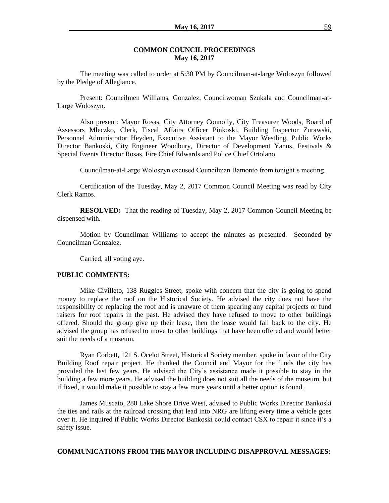### **COMMON COUNCIL PROCEEDINGS May 16, 2017**

The meeting was called to order at 5:30 PM by Councilman-at-large Woloszyn followed by the Pledge of Allegiance.

Present: Councilmen Williams, Gonzalez, Councilwoman Szukala and Councilman-at-Large Woloszyn.

Also present: Mayor Rosas, City Attorney Connolly, City Treasurer Woods, Board of Assessors Mleczko, Clerk, Fiscal Affairs Officer Pinkoski, Building Inspector Zurawski, Personnel Administrator Heyden, Executive Assistant to the Mayor Westling, Public Works Director Bankoski, City Engineer Woodbury, Director of Development Yanus, Festivals & Special Events Director Rosas, Fire Chief Edwards and Police Chief Ortolano.

Councilman-at-Large Woloszyn excused Councilman Bamonto from tonight's meeting.

Certification of the Tuesday, May 2, 2017 Common Council Meeting was read by City Clerk Ramos.

**RESOLVED:** That the reading of Tuesday, May 2, 2017 Common Council Meeting be dispensed with.

Motion by Councilman Williams to accept the minutes as presented. Seconded by Councilman Gonzalez.

Carried, all voting aye.

#### **PUBLIC COMMENTS:**

Mike Civilleto, 138 Ruggles Street, spoke with concern that the city is going to spend money to replace the roof on the Historical Society. He advised the city does not have the responsibility of replacing the roof and is unaware of them spearing any capital projects or fund raisers for roof repairs in the past. He advised they have refused to move to other buildings offered. Should the group give up their lease, then the lease would fall back to the city. He advised the group has refused to move to other buildings that have been offered and would better suit the needs of a museum.

Ryan Corbett, 121 S. Ocelot Street, Historical Society member, spoke in favor of the City Building Roof repair project. He thanked the Council and Mayor for the funds the city has provided the last few years. He advised the City's assistance made it possible to stay in the building a few more years. He advised the building does not suit all the needs of the museum, but if fixed, it would make it possible to stay a few more years until a better option is found.

James Muscato, 280 Lake Shore Drive West, advised to Public Works Director Bankoski the ties and rails at the railroad crossing that lead into NRG are lifting every time a vehicle goes over it. He inquired if Public Works Director Bankoski could contact CSX to repair it since it's a safety issue.

### **COMMUNICATIONS FROM THE MAYOR INCLUDING DISAPPROVAL MESSAGES:**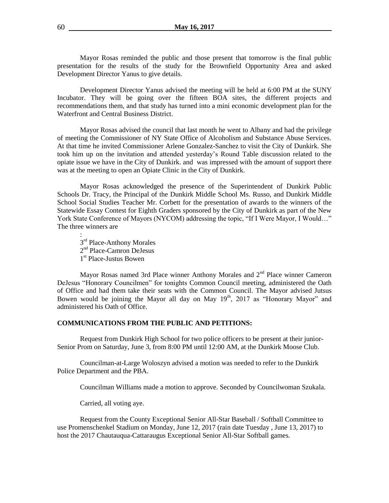Mayor Rosas reminded the public and those present that tomorrow is the final public presentation for the results of the study for the Brownfield Opportunity Area and asked Development Director Yanus to give details.

Development Director Yanus advised the meeting will be held at 6:00 PM at the SUNY Incubator. They will be going over the fifteen BOA sites, the different projects and recommendations them, and that study has turned into a mini economic development plan for the Waterfront and Central Business District.

Mayor Rosas advised the council that last month he went to Albany and had the privilege of meeting the Commissioner of NY State Office of Alcoholism and Substance Abuse Services. At that time he invited Commissioner Arlene Gonzalez-Sanchez to visit the City of Dunkirk. She took him up on the invitation and attended yesterday's Round Table discussion related to the opiate issue we have in the City of Dunkirk. and was impressed with the amount of support there was at the meeting to open an Opiate Clinic in the City of Dunkirk.

Mayor Rosas acknowledged the presence of the Superintendent of Dunkirk Public Schools Dr. Tracy, the Principal of the Dunkirk Middle School Ms. Russo, and Dunkirk Middle School Social Studies Teacher Mr. Corbett for the presentation of awards to the winners of the Statewide Essay Contest for Eighth Graders sponsored by the City of Dunkirk as part of the New York State Conference of Mayors (NYCOM) addressing the topic, "If I Were Mayor, I Would…" The three winners are

: 3<sup>rd</sup> Place-Anthony Morales 2<sup>nd</sup> Place-Camron DeJesus 1<sup>st</sup> Place-Justus Bowen

Mayor Rosas named 3rd Place winner Anthony Morales and 2<sup>nd</sup> Place winner Cameron DeJesus "Honorary Councilmen" for tonights Common Council meeting, administered the Oath of Office and had them take their seats with the Common Council. The Mayor advised Jutsus Bowen would be joining the Mayor all day on May  $19<sup>th</sup>$ , 2017 as "Honorary Mayor" and administered his Oath of Office.

### **COMMUNICATIONS FROM THE PUBLIC AND PETITIONS:**

Request from Dunkirk High School for two police officers to be present at their junior-Senior Prom on Saturday, June 3, from 8:00 PM until 12:00 AM, at the Dunkirk Moose Club.

Councilman-at-Large Woloszyn advised a motion was needed to refer to the Dunkirk Police Department and the PBA.

Councilman Williams made a motion to approve. Seconded by Councilwoman Szukala.

Carried, all voting aye.

Request from the County Exceptional Senior All-Star Baseball / Softball Committee to use Promenschenkel Stadium on Monday, June 12, 2017 (rain date Tuesday , June 13, 2017) to host the 2017 Chautauqua-Cattaraugus Exceptional Senior All-Star Softball games.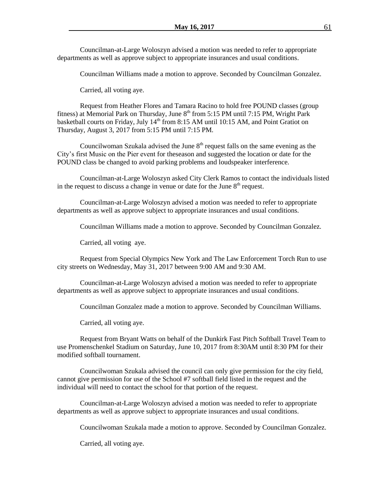Councilman-at-Large Woloszyn advised a motion was needed to refer to appropriate departments as well as approve subject to appropriate insurances and usual conditions.

Councilman Williams made a motion to approve. Seconded by Councilman Gonzalez.

Carried, all voting aye.

Request from Heather Flores and Tamara Racino to hold free POUND classes (group fitness) at Memorial Park on Thursday, June  $8<sup>th</sup>$  from 5:15 PM until 7:15 PM, Wright Park basketball courts on Friday, July  $14<sup>th</sup>$  from 8:15 AM until 10:15 AM, and Point Gratiot on Thursday, August 3, 2017 from 5:15 PM until 7:15 PM.

Councilwoman Szukala advised the June  $8<sup>th</sup>$  request falls on the same evening as the City's first Music on the Pier event for theseason and suggested the location or date for the POUND class be changed to avoid parking problems and loudspeaker interference.

Councilman-at-Large Woloszyn asked City Clerk Ramos to contact the individuals listed in the request to discuss a change in venue or date for the June  $8<sup>th</sup>$  request.

Councilman-at-Large Woloszyn advised a motion was needed to refer to appropriate departments as well as approve subject to appropriate insurances and usual conditions.

Councilman Williams made a motion to approve. Seconded by Councilman Gonzalez.

Carried, all voting aye.

Request from Special Olympics New York and The Law Enforcement Torch Run to use city streets on Wednesday, May 31, 2017 between 9:00 AM and 9:30 AM.

Councilman-at-Large Woloszyn advised a motion was needed to refer to appropriate departments as well as approve subject to appropriate insurances and usual conditions.

Councilman Gonzalez made a motion to approve. Seconded by Councilman Williams.

Carried, all voting aye.

Request from Bryant Watts on behalf of the Dunkirk Fast Pitch Softball Travel Team to use Promenschenkel Stadium on Saturday, June 10, 2017 from 8:30AM until 8:30 PM for their modified softball tournament.

Councilwoman Szukala advised the council can only give permission for the city field, cannot give permission for use of the School #7 softball field listed in the request and the individual will need to contact the school for that portion of the request.

Councilman-at-Large Woloszyn advised a motion was needed to refer to appropriate departments as well as approve subject to appropriate insurances and usual conditions.

Councilwoman Szukala made a motion to approve. Seconded by Councilman Gonzalez.

Carried, all voting aye.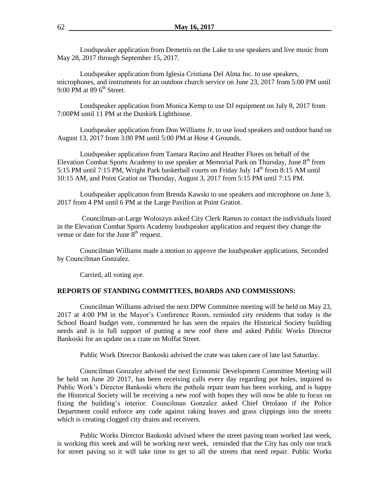Loudspeaker application from Demetris on the Lake to use speakers and live music from May 28, 2017 through September 15, 2017.

Loudspeaker application from Iglesia Cristiana Del Alma Inc. to use speakers, microphones, and instruments for an outdoor church service on June 23, 2017 from 5:00 PM until 9:00 PM at 89  $6<sup>th</sup>$  Street.

Loudspeaker application from Monica Kemp to use DJ equipment on July 8, 2017 from 7:00PM until 11 PM at the Dunkirk Lighthouse.

Loudspeaker application from Don Williams Jr. to use loud speakers and outdoor band on August 13, 2017 from 3:00 PM until 5:00 PM at Hose 4 Grounds.

Loudspeaker application from Tamara Racino and Heather Flores on behalf of the Elevation Combat Sports Academy to use speaker at Memorial Park on Thursday, June  $8<sup>th</sup>$  from 5:15 PM until 7:15 PM, Wright Park basketball courts on Friday July  $14<sup>th</sup>$  from 8:15 AM until 10:15 AM, and Point Gratiot on Thursday, August 3, 2017 from 5:15 PM until 7:15 PM.

Loudspeaker application from Brenda Kawski to use speakers and microphone on June 3, 2017 from 4 PM until 6 PM at the Large Pavilion at Point Gratiot.

Councilman-at-Large Woloszyn asked City Clerk Ramos to contact the individuals listed in the Elevation Combat Sports Academy loudspeaker application and request they change the venue or date for the June  $8<sup>th</sup>$  request.

Councilman Williams made a motion to approve the loudspeaker applications. Seconded by Councilman Gonzalez.

Carried, all voting aye.

### **REPORTS OF STANDING COMMITTEES, BOARDS AND COMMISSIONS:**

Councilman Williams advised the next DPW Committee meeting will be held on May 23, 2017 at 4:00 PM in the Mayor's Conference Room, reminded city residents that today is the School Board budget vote, commented he has seen the repairs the Historical Society building needs and is in full support of putting a new roof there and asked Public Works Director Bankoski for an update on a crate on Moffat Street.

Public Work Director Bankoski advised the crate was taken care of late last Saturday.

Councilman Gonzalez advised the next Economic Development Committee Meeting will be held on June 20, 2017, has been receiving calls every day regarding pot holes, inquired to Public Work's Director Bankoski where the pothole repair team has been working, and is happy the Historical Society will be receiving a new roof with hopes they will now be able to focus on fixing the building's interior. Councilman Gonzalez asked Chief Ortolano if the Police Department could enforce any code against raking leaves and grass clippings into the streets which is creating clogged city drains and receivers.

Public Works Director Bankoski advised where the street paving team worked last week, is working this week and will be working next week, reminded that the City has only one truck for street paving so it will take time to get to all the streets that need repair. Public Works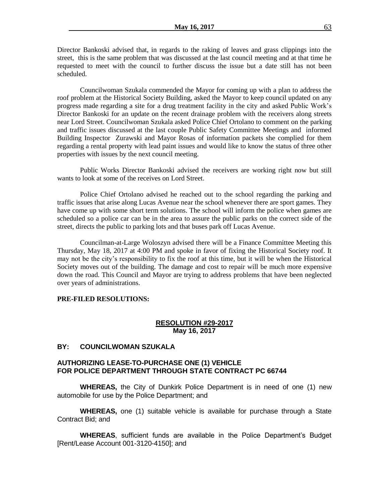Director Bankoski advised that, in regards to the raking of leaves and grass clippings into the street, this is the same problem that was discussed at the last council meeting and at that time he requested to meet with the council to further discuss the issue but a date still has not been scheduled.

Councilwoman Szukala commended the Mayor for coming up with a plan to address the roof problem at the Historical Society Building, asked the Mayor to keep council updated on any progress made regarding a site for a drug treatment facility in the city and asked Public Work's Director Bankoski for an update on the recent drainage problem with the receivers along streets near Lord Street. Councilwoman Szukala asked Police Chief Ortolano to comment on the parking and traffic issues discussed at the last couple Public Safety Committee Meetings and informed Building Inspector Zurawski and Mayor Rosas of information packets she complied for them regarding a rental property with lead paint issues and would like to know the status of three other properties with issues by the next council meeting.

Public Works Director Bankoski advised the receivers are working right now but still wants to look at some of the receives on Lord Street.

Police Chief Ortolano advised he reached out to the school regarding the parking and traffic issues that arise along Lucas Avenue near the school whenever there are sport games. They have come up with some short term solutions. The school will inform the police when games are scheduled so a police car can be in the area to assure the public parks on the correct side of the street, directs the public to parking lots and that buses park off Lucas Avenue.

Councilman-at-Large Woloszyn advised there will be a Finance Committee Meeting this Thursday, May 18, 2017 at 4:00 PM and spoke in favor of fixing the Historical Society roof. It may not be the city's responsibility to fix the roof at this time, but it will be when the Historical Society moves out of the building. The damage and cost to repair will be much more expensive down the road. This Council and Mayor are trying to address problems that have been neglected over years of administrations.

### **PRE-FILED RESOLUTIONS:**

### **RESOLUTION #29-2017 May 16, 2017**

### **BY: COUNCILWOMAN SZUKALA**

# **AUTHORIZING LEASE-TO-PURCHASE ONE (1) VEHICLE FOR POLICE DEPARTMENT THROUGH STATE CONTRACT PC 66744**

**WHEREAS,** the City of Dunkirk Police Department is in need of one (1) new automobile for use by the Police Department; and

**WHEREAS,** one (1) suitable vehicle is available for purchase through a State Contract Bid; and

**WHEREAS**, sufficient funds are available in the Police Department's Budget [Rent/Lease Account 001-3120-4150]; and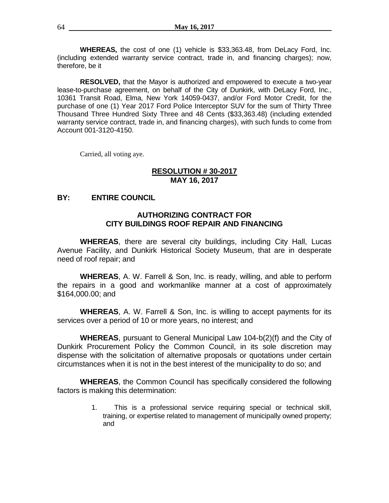**WHEREAS,** the cost of one (1) vehicle is \$33,363.48, from DeLacy Ford, Inc. (including extended warranty service contract, trade in, and financing charges); now, therefore, be it

**RESOLVED,** that the Mayor is authorized and empowered to execute a two-year lease-to-purchase agreement, on behalf of the City of Dunkirk, with DeLacy Ford, Inc., 10361 Transit Road, Elma, New York 14059-0437, and/or Ford Motor Credit, for the purchase of one (1) Year 2017 Ford Police Interceptor SUV for the sum of Thirty Three Thousand Three Hundred Sixty Three and 48 Cents (\$33,363.48) (including extended warranty service contract, trade in, and financing charges), with such funds to come from Account 001-3120-4150.

Carried, all voting aye.

# **RESOLUTION # 30-2017 MAY 16, 2017**

# **BY: ENTIRE COUNCIL**

# **AUTHORIZING CONTRACT FOR CITY BUILDINGS ROOF REPAIR AND FINANCING**

**WHEREAS**, there are several city buildings, including City Hall, Lucas Avenue Facility, and Dunkirk Historical Society Museum, that are in desperate need of roof repair; and

**WHEREAS**, A. W. Farrell & Son, Inc. is ready, willing, and able to perform the repairs in a good and workmanlike manner at a cost of approximately \$164,000.00; and

**WHEREAS**, A. W. Farrell & Son, Inc. is willing to accept payments for its services over a period of 10 or more years, no interest; and

**WHEREAS**, pursuant to General Municipal Law 104-b(2)(f) and the City of Dunkirk Procurement Policy the Common Council, in its sole discretion may dispense with the solicitation of alternative proposals or quotations under certain circumstances when it is not in the best interest of the municipality to do so; and

**WHEREAS**, the Common Council has specifically considered the following factors is making this determination:

> 1. This is a professional service requiring special or technical skill, training, or expertise related to management of municipally owned property; and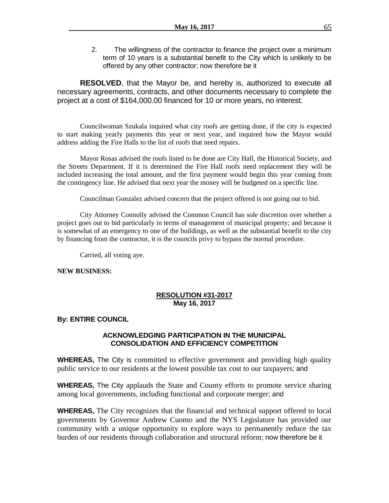2. The willingness of the contractor to finance the project over a minimum term of 10 years is a substantial benefit to the City which is unlikely to be offered by any other contractor; now therefore be it

**RESOLVED**, that the Mayor be, and hereby is, authorized to execute all necessary agreements, contracts, and other documents necessary to complete the project at a cost of \$164,000.00 financed for 10 or more years, no interest.

Councilwoman Szukala inquired what city roofs are getting done, if the city is expected to start making yearly payments this year or next year, and inquired how the Mayor would address adding the Fire Halls to the list of roofs that need repairs.

Mayor Rosas advised the roofs listed to be done are City Hall, the Historical Society, and the Streets Department. If it is determined the Fire Hall roofs need replacement they will be included increasing the total amount, and the first payment would begin this year coming from the contingency line. He advised that next year the money will be budgeted on a specific line.

Councilman Gonzalez advised concern that the project offered is not going out to bid.

City Attorney Connolly advised the Common Council has sole discretion over whether a project goes out to bid particularly in terms of management of municipal property; and because it is somewhat of an emergency to one of the buildings, as well as the substantial benefit to the city by financing from the contractor, it is the councils privy to bypass the normal procedure.

Carried, all voting aye.

# **NEW BUSINESS:**

# **RESOLUTION #31-2017 May 16, 2017**

# **By: ENTIRE COUNCIL**

# **ACKNOWLEDGING PARTICIPATION IN THE MUNICIPAL CONSOLIDATION AND EFFICIENCY COMPETITION**

**WHEREAS,** The City is committed to effective government and providing high quality public service to our residents at the lowest possible tax cost to our taxpayers; and

**WHEREAS,** The City applauds the State and County efforts to promote service sharing among local governments, including functional and corporate merger; and

**WHEREAS,** The City recognizes that the financial and technical support offered to local governments by Governor Andrew Cuomo and the NYS Legislature has provided our community with a unique opportunity to explore ways to permanently reduce the tax burden of our residents through collaboration and structural reform; now therefore be it